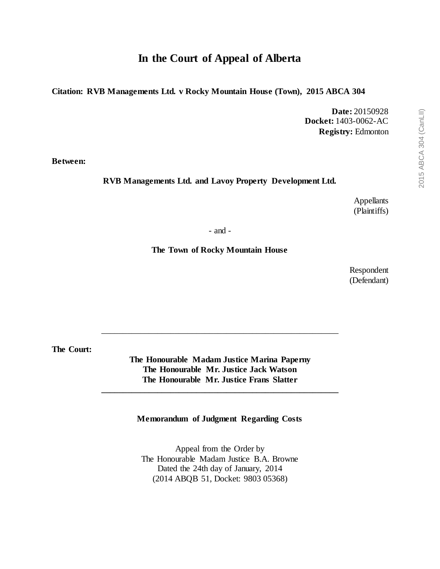# **In the Court of Appeal of Alberta**

**Citation: RVB Managements Ltd. v Rocky Mountain House (Town), 2015 ABCA 304**

**Date:** 20150928 **Docket:** 1403-0062-AC **Registry:** Edmonton

**Between:**

**RVB Managements Ltd. and Lavoy Property Development Ltd.**

Appellants (Plaintiffs)

- and -

**The Town of Rocky Mountain House**

Respondent (Defendant)

**The Court:**

**The Honourable Madam Justice Marina Paperny The Honourable Mr. Justice Jack Watson The Honourable Mr. Justice Frans Slatter**

**\_\_\_\_\_\_\_\_\_\_\_\_\_\_\_\_\_\_\_\_\_\_\_\_\_\_\_\_\_\_\_\_\_\_\_\_\_\_\_\_\_\_\_\_\_\_\_\_\_\_\_\_\_\_\_**

\_\_\_\_\_\_\_\_\_\_\_\_\_\_\_\_\_\_\_\_\_\_\_\_\_\_\_\_\_\_\_\_\_\_\_\_\_\_\_\_\_\_\_\_\_\_\_\_\_\_\_\_\_\_\_

**Memorandum of Judgment Regarding Costs**

Appeal from the Order by The Honourable Madam Justice B.A. Browne Dated the 24th day of January, 2014 (2014 ABQB 51, Docket: 9803 05368)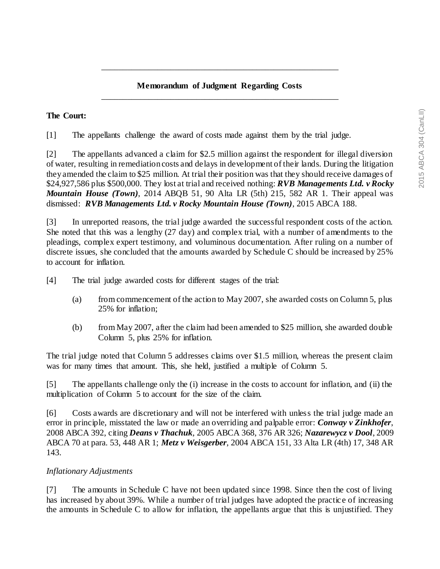### **Memorandum of Judgment Regarding Costs** \_\_\_\_\_\_\_\_\_\_\_\_\_\_\_\_\_\_\_\_\_\_\_\_\_\_\_\_\_\_\_\_\_\_\_\_\_\_\_\_\_\_\_\_\_\_\_\_\_\_\_\_\_\_\_

\_\_\_\_\_\_\_\_\_\_\_\_\_\_\_\_\_\_\_\_\_\_\_\_\_\_\_\_\_\_\_\_\_\_\_\_\_\_\_\_\_\_\_\_\_\_\_\_\_\_\_\_\_\_\_

#### **The Court:**

[1] The appellants challenge the award of costs made against them by the trial judge.

[2] The appellants advanced a claim for \$2.5 million against the respondent for illegal diversion of water, resulting in remediation costs and delays in development of their lands. During the litigation they amended the claim to \$25 million. At trial their position was that they should receive damages of \$24,927,586 plus \$500,000. They lost at trial and received nothing: *RVB Managements Ltd. v Rocky Mountain House (Town)*, 2014 ABQB 51, 90 Alta LR (5th) 215, 582 AR 1. Their appeal was dismissed: *RVB Managements Ltd. v Rocky Mountain House (Town)*, 2015 ABCA 188.

[3] In unreported reasons, the trial judge awarded the successful respondent costs of the action. She noted that this was a lengthy (27 day) and complex trial, with a number of amendments to the pleadings, complex expert testimony, and voluminous documentation. After ruling on a number of discrete issues, she concluded that the amounts awarded by Schedule C should be increased by 25% to account for inflation.

[4] The trial judge awarded costs for different stages of the trial:

- (a) from commencement of the action to May 2007, she awarded costs on Column 5, plus 25% for inflation;
- (b) from May 2007, after the claim had been amended to \$25 million, she awarded double Column 5, plus 25% for inflation.

The trial judge noted that Column 5 addresses claims over \$1.5 million, whereas the present claim was for many times that amount. This, she held, justified a multiple of Column 5.

[5] The appellants challenge only the (i) increase in the costs to account for inflation, and (ii) the multiplication of Column 5 to account for the size of the claim.

[6] Costs awards are discretionary and will not be interfered with unless the trial judge made an error in principle, misstated the law or made an overriding and palpable error: *Conway v Zinkhofer*, 2008 ABCA 392, citing *Deans v Thachuk*, 2005 ABCA 368, 376 AR 326; *Nazarewycz v Dool*, 2009 ABCA 70 at para. 53, 448 AR 1; *Metz v Weisgerber*, 2004 ABCA 151, 33 Alta LR (4th) 17, 348 AR 143.

#### *Inflationary Adjustments*

[7] The amounts in Schedule C have not been updated since 1998. Since then the cost of living has increased by about 39%. While a number of trial judges have adopted the practic e of increasing the amounts in Schedule C to allow for inflation, the appellants argue that this is unjustified. They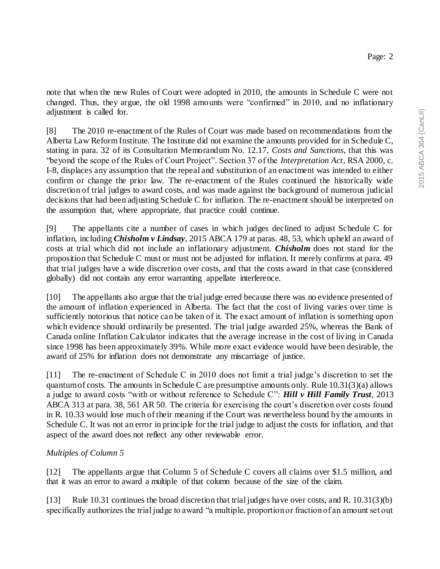note that when the new Rules of Court were adopted in 2010, the amounts in Schedule C were not changed. Thus, they argue, the old 1998 amounts were "confirmed" in 2010, and no inflationary adjustment is called for.

[8] The 2010 re-enactment of the Rules of Court was made based on recommendations from the Alberta Law Reform Institute. The Institute did not examine the amounts provided for in Schedule C, stating in para. 32 of its Consultation Memorandum No. 12.17, *Costs and Sanctions*, that this was "beyond the scope of the Rules of Court Project". Section 37 of the *Interpretation Act*, RSA 2000, c. I-8, displaces any assumption that the repeal and substitution of an enactment was intended to either confirm or change the prior law. The re-enactment of the Rules continued the historically wide discretion of trial judges to award costs, and was made against the background of numerous judicial decisions that had been adjusting Schedule C for inflation. The re-enactment should be interpreted on the assumption that, where appropriate, that practice could continue.

[9] The appellants cite a number of cases in which judges declined to adjust Schedule C for inflation, including *Chisholm v Lindsay*, 2015 ABCA 179 at paras. 48, 53, which upheld an award of costs at trial which did not include an inflationary adjustment. *Chisholm* does not stand for the proposition that Schedule C must or must not be adjusted for inflation. It merely confirms at para. 49 that trial judges have a wide discretion over costs, and that the costs award in that case (considered globally) did not contain any error warranting appellate interference.

[10] The appellants also argue that the trial judge erred because there was no evidence presented of the amount of inflation experienced in Alberta. The fact that the cost of living varies over time is sufficiently notorious that notice can be taken of it. The exact amount of inflation is something upon which evidence should ordinarily be presented. The trial judge awarded 25%, whereas the Bank of Canada online Inflation Calculator indicates that the average increase in the cost of living in Canada since 1998 has been approximately 39%. While more exact evidence would have been desirable, the award of 25% for inflation does not demonstrate any miscarriage of justice.

[11] The re-enactment of Schedule C in 2010 does not limit a trial judge's discretion to set the quantum of costs. The amounts in Schedule C are presumptive amounts only. Rule  $10.31(3)(a)$  allows a judge to award costs "with or without reference to Schedule C": *Hill v Hill Family Trust*, 2013 ABCA 313 at para. 38, 561 AR 50. The criteria for exercising the court's discretion over costs found in R. 10.33 would lose much of their meaning if the Court was nevertheless bound by the amounts in Schedule C. It was not an error in principle for the trial judge to adjust the costs for inflation, and that aspect of the award does not reflect any other reviewable error.

## *Multiples of Column 5*

[12] The appellants argue that Column 5 of Schedule C covers all claims over \$1.5 million, and that it was an error to award a multiple of that column because of the size of the claim.

[13] Rule 10.31 continues the broad discretion that trial judges have over costs, and R. 10.31(3)(b) specifically authorizes the trial judge to award "a multiple, proportion or fraction of an amount set out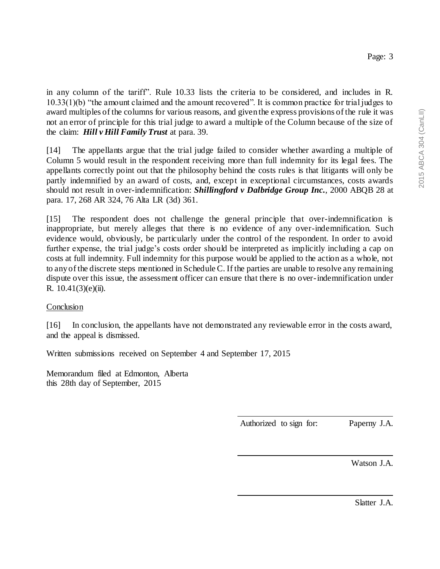in any column of the tariff". Rule 10.33 lists the criteria to be considered, and includes in R. 10.33(1)(b) "the amount claimed and the amount recovered". It is common practice for trial judges to award multiples of the columns for various reasons, and given the express provisions of the rule it was not an error of principle for this trial judge to award a multiple of the Column because of the size of the claim: *Hill v Hill Family Trust* at para. 39.

[14] The appellants argue that the trial judge failed to consider whether awarding a multiple of Column 5 would result in the respondent receiving more than full indemnity for its legal fees. The appellants correctly point out that the philosophy behind the costs rules is that litigants will only be partly indemnified by an award of costs, and, except in exceptional circumstances, costs awards should not result in over-indemnification: *Shillingford v Dalbridge Group Inc.*, 2000 ABQB 28 at para. 17, 268 AR 324, 76 Alta LR (3d) 361.

[15] The respondent does not challenge the general principle that over-indemnification is inappropriate, but merely alleges that there is no evidence of any over-indemnification. Such evidence would, obviously, be particularly under the control of the respondent. In order to avoid further expense, the trial judge's costs order should be interpreted as implicitly including a cap on costs at full indemnity. Full indemnity for this purpose would be applied to the action as a whole, not to any of the discrete steps mentioned in Schedule C. If the parties are unable to resolve any remaining dispute over this issue, the assessment officer can ensure that there is no over-indemnification under R.  $10.41(3)(e)(ii)$ .

### **Conclusion**

[16] In conclusion, the appellants have not demonstrated any reviewable error in the costs award, and the appeal is dismissed.

Written submissions received on September 4 and September 17, 2015

Memorandum filed at Edmonton, Alberta this 28th day of September, 2015

Authorized to sign for: Paperny J.A.

Watson J.A.

Slatter J.A.